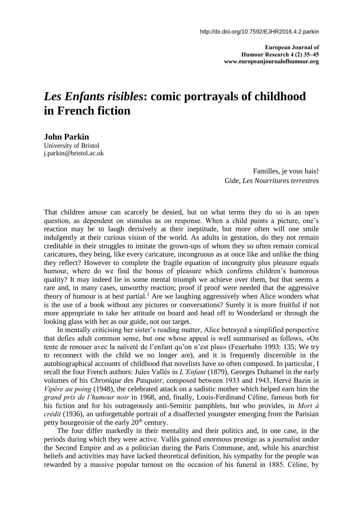**European Journal of Humour Research 4 (2) 35–45 www.europeanjournalofhumour.org**

## *Les Enfants risibles***: comic portrayals of childhood in French fiction**

**John Parkin** University of Bristol [j.parkin@bristol.ac.uk](mailto:j.parkin@bristol.ac.uk)

> Familles, je vous hais! Gide, *Les Nourritures terrestres*

That children amuse can scarcely be denied, but on what terms they do so is an open question, as dependent on stimulus as on response. When a child paints a picture, one's reaction may be to laugh derisively at their ineptitude, but more often will one smile indulgently at their curious vision of the world. As adults in gestation, do they not remain creditable in their struggles to imitate the grown-ups of whom they so often remain comical caricatures, they being, like every caricature, incongruous as at once like and unlike the thing they reflect? However to complete the fragile equation of incongruity plus pleasure equals humour, where do we find the bonus of pleasure which confirms children's humorous quality? It may indeed lie in some mental triumph we achieve over them, but that seems a rare and, in many cases, unworthy reaction; proof if proof were needed that the aggressive theory of humour is at best partial.<sup>1</sup> Are we laughing aggressively when Alice wonders what is the use of a book without any pictures or conversations? Surely it is more fruitful if not more appropriate to take her attitude on board and head off to Wonderland or through the looking glass with her as our guide, not our target.

In mentally criticising her sister's reading matter, Alice betrayed a simplified perspective that defies adult common sense, but one whose appeal is well summarised as follows, «On tente de renouer avec la naïveté de l'enfant qu'on n'est plus» (Feuerhahn 1993: 135; We try to reconnect with the child we no longer are), and it is frequently discernible in the autobiographical accounts of childhood that novelists have so often composed. In particular, I recall the four French authors: Jules Vallès in *L'Enfant* (1879), Georges Duhamel in the early volumes of his *Chronique des Pasquier*, composed between 1933 and 1943, Hervé Bazin in *Vipère au poing* (1948), the celebrated attack on a sadistic mother which helped earn him the *grand prix de l'humour noir* in 1968, and, finally, Louis-Ferdinand Céline, famous both for his fiction and for his outrageously anti-Semitic pamphlets, but who provides, in *Mort à crédit* (1936), an unforgettable portrait of a disaffected youngster emerging from the Parisian petty bourgeoisie of the early 20<sup>th</sup> century.

The four differ markedly in their mentality and their politics and, in one case, in the periods during which they were active. Vallès gained enormous prestige as a journalist under the Second Empire and as a politician during the Paris Commune, and, while his anarchist beliefs and activities may have lacked theoretical definition, his sympathy for the people was rewarded by a massive popular turnout on the occasion of his funeral in 1885. Céline, by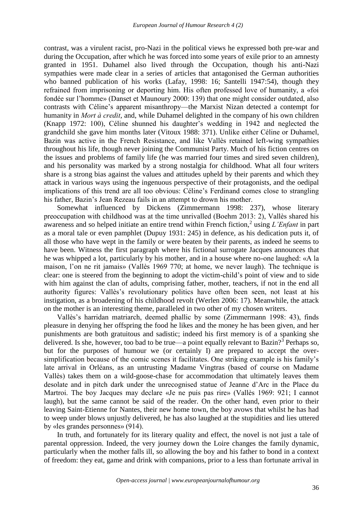contrast, was a virulent racist, pro-Nazi in the political views he expressed both pre-war and during the Occupation, after which he was forced into some years of exile prior to an amnesty granted in 1951. Duhamel also lived through the Occupation, though his anti-Nazi sympathies were made clear in a series of articles that antagonised the German authorities who banned publication of his works (Lafay, 1998: 16; Santelli 1947:54), though they refrained from imprisoning or deporting him. His often professed love of humanity, a «foi fondée sur l'homme» (Danset et Maunoury 2000: 139) that one might consider outdated, also contrasts with Céline's apparent misanthropy—the Marxist Nizan detected a contempt for humanity in *Mort à credit*, and, while Duhamel delighted in the company of his own children (Knapp 1972: 100), Céline shunned his daughter's wedding in 1942 and neglected the grandchild she gave him months later (Vitoux 1988: 371). Unlike either Céline or Duhamel, Bazin was active in the French Resistance, and like Vallès retained left-wing sympathies throughout his life, though never joining the Communist Party. Much of his fiction centres on the issues and problems of family life (he was married four times and sired seven children), and his personality was marked by a strong nostalgia for childhood. What all four writers share is a strong bias against the values and attitudes upheld by their parents and which they attack in various ways using the ingenuous perspective of their protagonists, and the oedipal implications of this trend are all too obvious: Céline's Ferdinand comes close to strangling his father, Bazin's Jean Rezeau fails in an attempt to drown his mother.

Somewhat influenced by Dickens (Zimmermann 1998: 237), whose literary preoccupation with childhood was at the time unrivalled (Boehm 2013: 2), Vallès shared his awareness and so helped initiate an entire trend within French fiction,<sup>2</sup> using *L'Enfant* in part as a moral tale or even pamphlet (Dupuy 1931: 245) in defence, as his dedication puts it, of all those who have wept in the family or were beaten by their parents, as indeed he seems to have been. Witness the first paragraph where his fictional surrogate Jacques announces that he was whipped a lot, particularly by his mother, and in a house where no-one laughed: «A la maison, l'on ne rit jamais» (Vallès 1969 770; at home, we never laugh). The technique is clear: one is steered from the beginning to adopt the victim-child's point of view and to side with him against the clan of adults, comprising father, mother, teachers, if not in the end all authority figures: Vallès's revolutionary politics have often been seen, not least at his instigation, as a broadening of his childhood revolt (Werlen 2006: 17). Meanwhile, the attack on the mother is an interesting theme, paralleled in two other of my chosen writers.

Vallès's harridan matriarch, deemed phallic by some (Zimmermann 1998: 43), finds pleasure in denying her offspring the food he likes and the money he has been given, and her punishments are both gratuitous and sadistic; indeed his first memory is of a spanking she delivered. Is she, however, too bad to be true—a point equally relevant to Bazin?<sup>3</sup> Perhaps so, but for the purposes of humour we (or certainly I) are prepared to accept the oversimplification because of the comic scenes it facilitates. One striking example is his family's late arrival in Orléans, as an untrusting Madame Vingtras (based of course on Madame Vallès) takes them on a wild-goose-chase for accommodation that ultimately leaves them desolate and in pitch dark under the unrecognised statue of Jeanne d'Arc in the Place du Martroi. The boy Jacques may declare «Je ne puis pas rire» (Vallès 1969: 921; I cannot laugh), but the same cannot be said of the reader. On the other hand, even prior to their leaving Saint-Etienne for Nantes, their new home town, the boy avows that whilst he has had to weep under blows unjustly delivered, he has also laughed at the stupidities and lies uttered by «les grandes personnes» (914).

In truth, and fortunately for its literary quality and effect, the novel is not just a tale of parental oppression. Indeed, the very journey down the Loire changes the family dynamic, particularly when the mother falls ill, so allowing the boy and his father to bond in a context of freedom: they eat, game and drink with companions, prior to a less than fortunate arrival in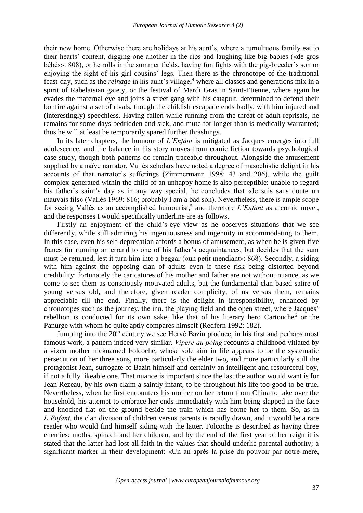their new home. Otherwise there are holidays at his aunt's, where a tumultuous family eat to their hearts' content, digging one another in the ribs and laughing like big babies («de gros bébés»: 808), or he rolls in the summer fields, having fun fights with the pig-breeder's son or enjoying the sight of his girl cousins' legs. Then there is the chronotope of the traditional feast-day, such as the *reinage* in his aunt's village,<sup>4</sup> where all classes and generations mix in a spirit of Rabelaisian gaiety, or the festival of Mardi Gras in Saint-Etienne, where again he evades the maternal eye and joins a street gang with his catapult, determined to defend their bonfire against a set of rivals, though the childish escapade ends badly, with him injured and (interestingly) speechless. Having fallen while running from the threat of adult reprisals, he remains for some days bedridden and sick, and mute for longer than is medically warranted; thus he will at least be temporarily spared further thrashings.

In its later chapters, the humour of *L'Enfant* is mitigated as Jacques emerges into full adolescence, and the balance in his story moves from comic fiction towards psychological case-study, though both patterns do remain traceable throughout. Alongside the amusement supplied by a naïve narrator, Vallès scholars have noted a degree of masochistic delight in his accounts of that narrator's sufferings (Zimmermann 1998: 43 and 206), while the guilt complex generated within the child of an unhappy home is also perceptible: unable to regard his father's saint's day as in any way special, he concludes that «Je suis sans doute un mauvais fils» (Vallès 1969: 816; probably I am a bad son). Nevertheless, there is ample scope for seeing Vallès as an accomplished humourist, 5 and therefore *L'Enfant* as a comic novel, and the responses I would specifically underline are as follows.

Firstly an enjoyment of the child's-eye view as he observes situations that we see differently, while still admiring his ingenuousness and ingenuity in accommodating to them. In this case, even his self-deprecation affords a bonus of amusement, as when he is given five francs for running an errand to one of his father's acquaintances, but decides that the sum must be returned, lest it turn him into a beggar («un petit mendiant»: 868). Secondly, a siding with him against the opposing clan of adults even if these risk being distorted beyond credibility: fortunately the caricatures of his mother and father are not without nuance, as we come to see them as consciously motivated adults, but the fundamental clan-based satire of young versus old, and therefore, given reader complicity, of us versus them, remains appreciable till the end. Finally, there is the delight in irresponsibility, enhanced by chronotopes such as the journey, the inn, the playing field and the open street, where Jacques' rebellion is conducted for its own sake, like that of his literary hero Cartouche<sup>6</sup> or the Panurge with whom he quite aptly compares himself (Redfern 1992: 182).

Jumping into the  $20<sup>th</sup>$  century we see Hervé Bazin produce, in his first and perhaps most famous work, a pattern indeed very similar. *Vipère au poing* recounts a childhood vitiated by a vixen mother nicknamed Folcoche, whose sole aim in life appears to be the systematic persecution of her three sons, more particularly the elder two, and more particularly still the protagonist Jean, surrogate of Bazin himself and certainly an intelligent and resourceful boy, if not a fully likeable one. That nuance is important since the last the author would want is for Jean Rezeau, by his own claim a saintly infant, to be throughout his life too good to be true. Nevertheless, when he first encounters his mother on her return from China to take over the household, his attempt to embrace her ends immediately with him being slapped in the face and knocked flat on the ground beside the train which has borne her to them. So, as in *L'Enfant*, the clan division of children versus parents is rapidly drawn, and it would be a rare reader who would find himself siding with the latter. Folcoche is described as having three enemies: moths, spinach and her children, and by the end of the first year of her reign it is stated that the latter had lost all faith in the values that should underlie parental authority; a significant marker in their development: «Un an après la prise du pouvoir par notre mère,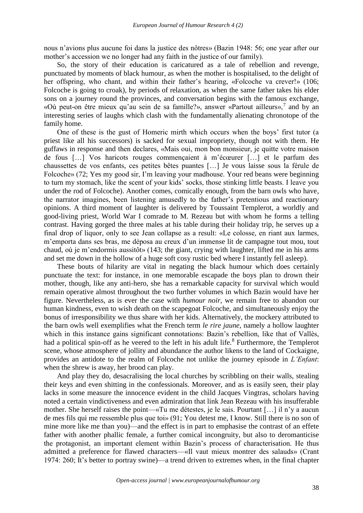nous n'avions plus aucune foi dans la justice des nôtres» (Bazin 1948: 56; one year after our mother's accession we no longer had any faith in the justice of our family).

So, the story of their education is caricatured as a tale of rebellion and revenge, punctuated by moments of black humour, as when the mother is hospitalised, to the delight of her offspring, who chant, and within their father's hearing, «Folcoche va crever!» (106; Folcoche is going to croak), by periods of relaxation, as when the same father takes his elder sons on a journey round the provinces, and conversation begins with the famous exchange, «Où peut-on être mieux qu'au sein de sa famille?», answer «Partout ailleurs»,<sup>7</sup> and by an interesting series of laughs which clash with the fundamentally alienating chronotope of the family home.

One of these is the gust of Homeric mirth which occurs when the boys' first tutor (a priest like all his successors) is sacked for sexual impropriety, though not with them. He guffaws in response and then declares, «Mais oui, mon bon monsieur, je quitte votre maison de fous […] Vos haricots rouges commençaient à m'écœurer […] et le parfum des chaussettes de vos enfants, ces petites bêtes puantes […] Je vous laisse sous la férule de Folcoche» (72; Yes my good sir, I'm leaving your madhouse. Your red beans were beginning to turn my stomach, like the scent of your kids' socks, those stinking little beasts. I leave you under the rod of Folcoche). Another comes, comically enough, from the barn owls who have, the narrator imagines, been listening amusedly to the father's pretentious and reactionary opinions. A third moment of laughter is delivered by Toussaint Templerot, a worldly and good-living priest, World War I comrade to M. Rezeau but with whom he forms a telling contrast. Having gorged the three males at his table during their holiday trip, he serves up a final drop of liquor, only to see Jean collapse as a result: «Le colosse, en riant aux larmes, m'emporta dans ses bras, me déposa au creux d'un immense lit de campagne tout mou, tout chaud, où je m'endormis aussitôt» (143; the giant, crying with laughter, lifted me in his arms and set me down in the hollow of a huge soft cosy rustic bed where I instantly fell asleep).

These bouts of hilarity are vital in negating the black humour which does certainly punctuate the text: for instance, in one memorable escapade the boys plan to drown their mother, though, like any anti-hero, she has a remarkable capacity for survival which would remain operative almost throughout the two further volumes in which Bazin would have her figure. Nevertheless, as is ever the case with *humour noir*, we remain free to abandon our human kindness, even to wish death on the scapegoat Folcoche, and simultaneously enjoy the bonus of irresponsibility we thus share with her kids. Alternatively, the mockery attributed to the barn owls well exemplifies what the French term *le rire jaune*, namely a hollow laughter which in this instance gains significant connotations: Bazin's rebellion, like that of Vallès, had a political spin-off as he veered to the left in his adult life.<sup>8</sup> Furthermore, the Templerot scene, whose atmosphere of jollity and abundance the author likens to the land of Cockaigne, provides an antidote to the realm of Folcoche not unlike the journey episode in *L'Enfant*: when the shrew is away, her brood can play.

And play they do, desacralising the local churches by scribbling on their walls, stealing their keys and even shitting in the confessionals. Moreover, and as is easily seen, their play lacks in some measure the innocence evident in the child Jacques Vingtras, scholars having noted a certain vindictiveness and even admiration that link Jean Rezeau with his insufferable mother. She herself raises the point—«Tu me détestes, je le sais. Pourtant […] il n'y a aucun de mes fils qui me ressemble plus que toi» (91; You detest me, I know. Still there is no son of mine more like me than you)—and the effect is in part to emphasise the contrast of an effete father with another phallic female, a further comical incongruity, but also to deromanticise the protagonist, an important element within Bazin's process of characterisation. He thus admitted a preference for flawed characters—«Il vaut mieux montrer des salauds» (Crant 1974: 260; It's better to portray swine)—a trend driven to extremes when, in the final chapter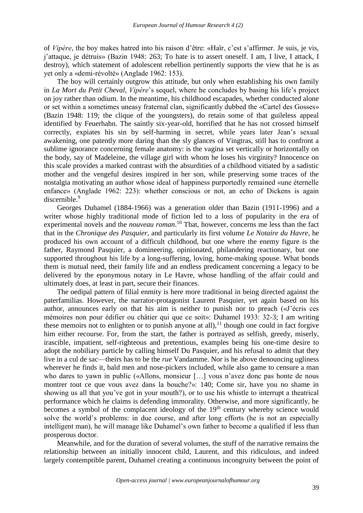of *Vipère*, the boy makes hatred into his raison d'être: «Haïr, c'est s'affirmer. Je suis, je vis, j'attaque, je détruis» (Bazin 1948: 263; To hate is to assert oneself. I am, I live, I attack, I destroy), which statement of adolescent rebellion pertinently supports the view that he is as yet only a «demi-révolté» (Anglade 1962: 153).

The boy will certainly outgrow this attitude, but only when establishing his own family in *La Mort du Petit Cheval*, *Vipère*'s sequel, where he concludes by basing his life's project on joy rather than odium. In the meantime, his childhood escapades, whether conducted alone or set within a sometimes uneasy fraternal clan, significantly dubbed the «Cartel des Gosses» (Bazin 1948: 119; the clique of the youngsters), do retain some of that guileless appeal identified by Feuerhahn. The saintly six-year-old, horrified that he has not crossed himself correctly, expiates his sin by self-harming in secret, while years later Jean's sexual awakening, one patently more daring than the sly glances of Vingtras, still has to confront a sublime ignorance concerning female anatomy: is the vagina set vertically or horizontally on the body, say of Madeleine, the village girl with whom he loses his virginity? Innocence on this scale provides a marked contrast with the absurdities of a childhood vitiated by a sadistic mother and the vengeful desires inspired in her son, while preserving some traces of the nostalgia motivating an author whose ideal of happiness purportedly remained «une éternelle enfance» (Anglade 1962: 223): whether conscious or not, an echo of Dickens is again discernible.<sup>9</sup>

Georges Duhamel (1884-1966) was a generation older than Bazin (1911-1996) and a writer whose highly traditional mode of fiction led to a loss of popularity in the era of experimental novels and the *nouveau roman*. <sup>10</sup> That, however, concerns me less than the fact that in the *Chronique des Pasquier*, and particularly its first volume *Le Notaire du Havre*, he produced his own account of a difficult childhood, but one where the enemy figure is the father, Raymond Pasquier, a domineering, opinionated, philandering reactionary, but one supported throughout his life by a long-suffering, loving, home-making spouse. What bonds them is mutual need, their family life and an endless predicament concerning a legacy to be delivered by the eponymous notary in Le Havre, whose handling of the affair could and ultimately does, at least in part, secure their finances.

The oedipal pattern of filial enmity is here more traditional in being directed against the paterfamilias. However, the narrator-protagonist Laurent Pasquier, yet again based on his author, announces early on that his aim is neither to punish nor to preach («J'écris ces mémoires non pour édifier ou châtier qui que ce soit»: Duhamel 1933: 32-3; I am writing these memoirs not to enlighten or to punish anyone at all),  $11$  though one could in fact forgive him either recourse. For, from the start, the father is portrayed as selfish, greedy, miserly, irascible, impatient, self-righteous and pretentious, examples being his one-time desire to adopt the nobiliary particle by calling himself Du Pasquier, and his refusal to admit that they live in a cul de sac—theirs has to be the *rue* Vandamme. Nor is he above denouncing ugliness wherever he finds it, bald men and nose-pickers included, while also game to censure a man who dares to yawn in public («Allons, monsieur […] vous n'avez donc pas honte de nous montrer tout ce que vous avez dans la bouche?»: 140; Come sir, have you no shame in showing us all that you've got in your mouth?), or to use his whistle to interrupt a theatrical performance which he claims is defending immorality. Otherwise, and more significantly, he becomes a symbol of the complacent ideology of the  $19<sup>th</sup>$  century whereby science would solve the world's problems: in due course, and after long efforts (he is not an especially intelligent man), he will manage like Duhamel's own father to become a qualified if less than prosperous doctor.

Meanwhile, and for the duration of several volumes, the stuff of the narrative remains the relationship between an initially innocent child, Laurent, and this ridiculous, and indeed largely contemptible parent, Duhamel creating a continuous incongruity between the point of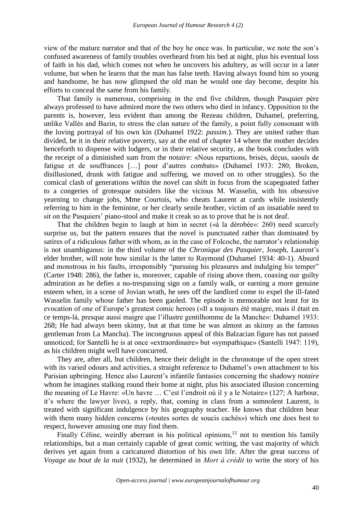view of the mature narrator and that of the boy he once was. In particular, we note the son's confused awareness of family troubles overheard from his bed at night, plus his eventual loss of faith in his dad, which comes not when he uncovers his adultery, as will occur in a later volume, but when he learns that the man has false teeth. Having always found him so young and handsome, he has now glimpsed the old man he would one day become, despite his efforts to conceal the same from his family.

That family is numerous, comprising in the end five children, though Pasquier père always professed to have admired more the two others who died in infancy. Opposition to the parents is, however, less evident than among the Rezeau children, Duhamel, preferring, unlike Vallès and Bazin, to stress the clan nature of the family, a point fully consonant with the loving portrayal of his own kin (Duhamel 1922: *passim*.). They are united rather than divided, be it in their relative poverty, say at the end of chapter 14 where the mother decides henceforth to dispense with lodgers, or in their relative security, as the book concludes with the receipt of a diminished sum from the *notaire*: «Nous repartions, brisés, déçus, saouls de fatigue et de souffrances […] pour d'autres combats» (Duhamel 1933: 280; Broken, disillusioned, drunk with fatigue and suffering, we moved on to other struggles). So the comical clash of generations within the novel can shift in focus from the scapegoated father to a congeries of grotesque outsiders like the vicious M. Wasselin, with his obsessive yearning to change jobs, Mme Courtois, who cheats Laurent at cards while insistently referring to him in the feminine, or her clearly senile brother, victim of an insatiable need to sit on the Pasquiers' piano-stool and make it creak so as to prove that he is not deaf.

That the children begin to laugh at him in secret («à la dérobée»: 260) need scarcely surprise us, but the pattern ensures that the novel is punctuated rather than dominated by satires of a ridiculous father with whom, as in the case of Folcoche, the narrator's relationship is not unambiguous: in the third volume of the *Chronique des Pasquier*, Joseph, Laurent's elder brother, will note how similar is the latter to Raymond (Duhamel 1934: 40-1). Absurd and monstrous in his faults, irresponsibly "pursuing his pleasures and indulging his temper" (Carter 1948: 286), the father is, moreover, capable of rising above them, coaxing our guilty admiration as he defies a no-trespassing sign on a family walk, or earning a more genuine esteem when, in a scene of Jovian wrath, he sees off the landlord come to expel the ill-fated Wasselin family whose father has been gaoled. The episode is memorable not least for its evocation of one of Europe's greatest comic heroes («Il a toujours été maigre, mais il était en ce temps-là, presque aussi maigre que l'illustre gentilhomme de la Manche»: Duhamel 1933: 268; He had always been skinny, but at that time he was almost as skinny as the famous gentleman from La Mancha). The incongruous appeal of this Balzacian figure has not passed unnoticed; for Santelli he is at once «extraordinaire» but «sympathique» (Santelli 1947: 119), as his children might well have concurred.

They are, after all, but children, hence their delight in the chronotope of the open street with its varied odours and activities, a straight reference to Duhamel's own attachment to his Parisian upbringing. Hence also Laurent's infantile fantasies concerning the shadowy *notaire* whom he imagines stalking round their home at night, plus his associated illusion concerning the meaning of Le Havre: «Un havre … C'est l'endroit où il y a le Notaire» (127; A harbour, it's where the lawyer lives), a reply, that, coming in class from a somnolent Laurent, is treated with significant indulgence by his geography teacher. He knows that children bear with them many hidden concerns («toutes sortes de soucis cachés») which one does best to respect, however amusing one may find them.

Finally Céline, weirdly aberrant in his political opinions,<sup>12</sup> not to mention his family relationships, but a man certainly capable of great comic writing, the vast majority of which derives yet again from a caricatured distortion of his own life. After the great success of *Voyage au bout de la nuit* (1932), he determined in *Mort à crédit* to write the story of his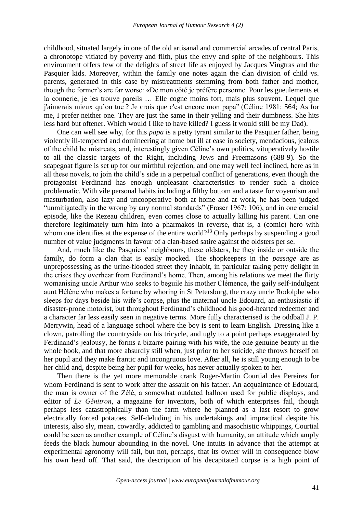childhood, situated largely in one of the old artisanal and commercial arcades of central Paris, a chronotope vitiated by poverty and filth, plus the envy and spite of the neighbours. This environment offers few of the delights of street life as enjoyed by Jacques Vingtras and the Pasquier kids. Moreover, within the family one notes again the clan division of child vs. parents, generated in this case by mistreatments stemming from both father and mother, though the former's are far worse: «De mon côté je préfère personne. Pour les gueulements et la connerie, je les trouve pareils … Elle cogne moins fort, mais plus souvent. Lequel que j'aimerais mieux qu'on tue ? Je crois que c'est encore mon papaˮ (Céline 1981: 564; As for me, I prefer neither one. They are just the same in their yelling and their dumbness. She hits less hard but oftener. Which would I like to have killed? I guess it would still be my Dad).

One can well see why, for this *papa* is a petty tyrant similar to the Pasquier father, being violently ill-tempered and domineering at home but ill at ease in society, mendacious, jealous of the child he mistreats, and, interestingly given Céline's own politics, vituperatively hostile to all the classic targets of the Right, including Jews and Freemasons (688-9). So the scapegoat figure is set up for our mirthful rejection, and one may well feel inclined, here as in all these novels, to join the child's side in a perpetual conflict of generations, even though the protagonist Ferdinand has enough unpleasant characteristics to render such a choice problematic. With vile personal habits including a filthy bottom and a taste for voyeurism and masturbation, also lazy and uncooperative both at home and at work, he has been judged "unmitigatedly in the wrong by any normal standards" (Fraser 1967: 106), and in one crucial episode, like the Rezeau children, even comes close to actually killing his parent. Can one therefore legitimately turn him into a pharmakos in reverse, that is, a (comic) hero with whom one identifies at the expense of the entire world?<sup>13</sup> Only perhaps by suspending a good number of value judgments in favour of a clan-based satire against the oldsters per se.

And, much like the Pasquiers' neighbours, these oldsters, be they inside or outside the family, do form a clan that is easily mocked. The shopkeepers in the *passage* are as unprepossessing as the urine-flooded street they inhabit, in particular taking petty delight in the crises they overhear from Ferdinand's home. Then, among his relations we meet the flirty womanising uncle Arthur who seeks to beguile his mother Clémence, the gaily self-indulgent aunt Hélène who makes a fortune by whoring in St Petersburg, the crazy uncle Rodolphe who sleeps for days beside his wife's corpse, plus the maternal uncle Edouard, an enthusiastic if disaster-prone motorist, but throughout Ferdinand's childhood his good-hearted redeemer and a character far less easily seen in negative terms. More fully characterised is the oddball J. P. Merrywin, head of a language school where the boy is sent to learn English. Dressing like a clown, patrolling the countryside on his tricycle, and ugly to a point perhaps exaggerated by Ferdinand's jealousy, he forms a bizarre pairing with his wife, the one genuine beauty in the whole book, and that more absurdly still when, just prior to her suicide, she throws herself on her pupil and they make frantic and incongruous love. After all, he is still young enough to be her child and, despite being her pupil for weeks, has never actually spoken to her.

Then there is the yet more memorable crank Roger-Martin Courtial des Pereires for whom Ferdinand is sent to work after the assault on his father. An acquaintance of Edouard, the man is owner of the Zélé, a somewhat outdated balloon used for public displays, and editor of *Le Génitron*, a magazine for inventors, both of which enterprises fail, though perhaps less catastrophically than the farm where he planned as a last resort to grow electrically forced potatoes. Self-deluding in his undertakings and impractical despite his interests, also sly, mean, cowardly, addicted to gambling and masochistic whippings, Courtial could be seen as another example of Céline's disgust with humanity, an attitude which amply feeds the black humour abounding in the novel. One intuits in advance that the attempt at experimental agronomy will fail, but not, perhaps, that its owner will in consequence blow his own head off. That said, the description of his decapitated corpse is a high point of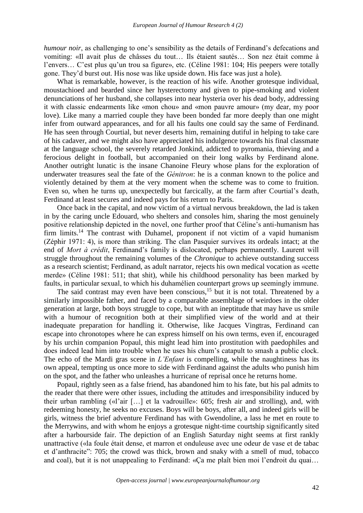*humour noir*, as challenging to one's sensibility as the details of Ferdinand's defecations and vomiting: «Il avait plus de châsses du tout… Ils étaient sautés… Son nez était comme à l'envers… C'est plus qu'un trou sa figure», etc. (Céline 1981: 104; His peepers were totally gone. They'd burst out. His nose was like upside down. His face was just a hole).

What is remarkable, however, is the reaction of his wife. Another grotesque individual, moustachioed and bearded since her hysterectomy and given to pipe-smoking and violent denunciations of her husband, she collapses into near hysteria over his dead body, addressing it with classic endearments like «mon chou» and «mon pauvre amour» (my dear, my poor love). Like many a married couple they have been bonded far more deeply than one might infer from outward appearances, and for all his faults one could say the same of Ferdinand. He has seen through Courtial, but never deserts him, remaining dutiful in helping to take care of his cadaver, and we might also have appreciated his indulgence towards his final classmate at the language school, the severely retarded Jonkind, addicted to pyromania, thieving and a ferocious delight in football, but accompanied on their long walks by Ferdinand alone. Another outright lunatic is the insane Chanoine Fleury whose plans for the exploration of underwater treasures seal the fate of the *Génitron*: he is a conman known to the police and violently detained by them at the very moment when the scheme was to come to fruition. Even so, when he turns up, unexpectedly but farcically, at the farm after Courtial's death, Ferdinand at least secures and indeed pays for his return to Paris.

Once back in the capital, and now victim of a virtual nervous breakdown, the lad is taken in by the caring uncle Edouard, who shelters and consoles him, sharing the most genuinely positive relationship depicted in the novel, one further proof that Céline's anti-humanism has firm limits.<sup>14</sup> The contrast with Duhamel, proponent if not victim of a vapid humanism (Zéphir 1971: 4), is more than striking. The clan Pasquier survives its ordeals intact; at the end of *Mort à crédit*, Ferdinand's family is dislocated, perhaps permanently. Laurent will struggle throughout the remaining volumes of the *Chronique* to achieve outstanding success as a research scientist; Ferdinand, as adult narrator, rejects his own medical vocation as «cette merde» (Céline 1981: 511; that shit), while his childhood personality has been marked by faults, in particular sexual, to which his duhamélien counterpart grows up seemingly immune.

The said contrast may even have been conscious,  $15$  but it is not total. Threatened by a similarly impossible father, and faced by a comparable assemblage of weirdoes in the older generation at large, both boys struggle to cope, but with an ineptitude that may have us smile with a humour of recognition both at their simplified view of the world and at their inadequate preparation for handling it. Otherwise, like Jacques Vingtras, Ferdinand can escape into chronotopes where he can express himself on his own terms, even if, encouraged by his urchin companion Popaul, this might lead him into prostitution with paedophiles and does indeed lead him into trouble when he uses his chum's catapult to smash a public clock. The echo of the Mardi gras scene in *L'Enfant* is compelling, while the naughtiness has its own appeal, tempting us once more to side with Ferdinand against the adults who punish him on the spot, and the father who unleashes a hurricane of reprisal once he returns home.

Popaul, rightly seen as a false friend, has abandoned him to his fate, but his pal admits to the reader that there were other issues, including the attitudes and irresponsibility induced by their urban rambling («l'air […] et la vadrouille»: 605; fresh air and strolling), and, with redeeming honesty, he seeks no excuses. Boys will be boys, after all, and indeed girls will be girls, witness the brief adventure Ferdinand has with Gwendoline, a lass he met en route to the Merrywins, and with whom he enjoys a grotesque night-time courtship significantly sited after a harbourside fair. The depiction of an English Saturday night seems at first rankly unattractive («la foule était dense, et marron et onduleuse avec une odeur de vase et de tabac et d'anthracite": 705; the crowd was thick, brown and snaky with a smell of mud, tobacco and coal), but it is not unappealing to Ferdinand: «Ça me plaît bien moi l'endroit du quai…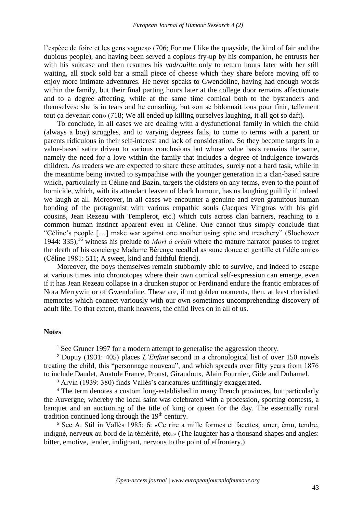l'espèce de foire et les gens vagues» (706; For me I like the quayside, the kind of fair and the dubious people), and having been served a copious fry-up by his companion, he entrusts her with his suitcase and then resumes his *vadrouille* only to return hours later with her still waiting, all stock sold bar a small piece of cheese which they share before moving off to enjoy more intimate adventures. He never speaks to Gwendoline, having had enough words within the family, but their final parting hours later at the college door remains affectionate and to a degree affecting, while at the same time comical both to the bystanders and themselves: she is in tears and he consoling, but «on se bidonnait tous pour finir, tellement tout ça devenait con» (718; We all ended up killing ourselves laughing, it all got so daft).

To conclude, in all cases we are dealing with a dysfunctional family in which the child (always a boy) struggles, and to varying degrees fails, to come to terms with a parent or parents ridiculous in their self-interest and lack of consideration. So they become targets in a value-based satire driven to various conclusions but whose value basis remains the same, namely the need for a love within the family that includes a degree of indulgence towards children. As readers we are expected to share these attitudes, surely not a hard task, while in the meantime being invited to sympathise with the younger generation in a clan-based satire which, particularly in Céline and Bazin, targets the oldsters on any terms, even to the point of homicide, which, with its attendant leaven of black humour, has us laughing guiltily if indeed we laugh at all. Moreover, in all cases we encounter a genuine and even gratuitous human bonding of the protagonist with various empathic souls (Jacques Vingtras with his girl cousins, Jean Rezeau with Templerot, etc.) which cuts across clan barriers, reaching to a common human instinct apparent even in Céline. One cannot thus simply conclude that "Céline's people […] make war against one another using spite and treachery" (Slochower 1944: 335),<sup>16</sup> witness his prelude to *Mort à crédit* where the mature narrator pauses to regret the death of his concierge Madame Bérenge recalled as «une douce et gentille et fidèle amie» (Céline 1981: 511; A sweet, kind and faithful friend).

Moreover, the boys themselves remain stubbornly able to survive, and indeed to escape at various times into chronotopes where their own comical self-expression can emerge, even if it has Jean Rezeau collapse in a drunken stupor or Ferdinand endure the frantic embraces of Nora Merrywin or of Gwendoline. These are, if not golden moments, then, at least cherished memories which connect variously with our own sometimes uncomprehending discovery of adult life. To that extent, thank heavens, the child lives on in all of us.

## **Notes**

<sup>1</sup> See Gruner 1997 for a modern attempt to generalise the aggression theory.

<sup>2</sup> Dupuy (1931: 405) places *L'Enfant* second in a chronological list of over 150 novels treating the child, this "personnage nouveau", and which spreads over fifty years from 1876 to include Daudet, Anatole France, Proust, Giraudoux, Alain Fournier, Gide and Duhamel.

<sup>3</sup> Arvin (1939: 380) finds Vallès's caricatures unfittingly exaggerated.

<sup>4</sup> The term denotes a custom long-established in many French provinces, but particularly the Auvergne, whereby the local saint was celebrated with a procession, sporting contests, a banquet and an auctioning of the title of king or queen for the day. The essentially rural tradition continued long through the  $19<sup>th</sup>$  century.

<sup>5</sup> See A. Stil in Vallès 1985: 6: «Ce rire a mille formes et facettes, amer, ému, tendre, indigné, nerveux au bord de la témérité, etc.» (The laughter has a thousand shapes and angles: bitter, emotive, tender, indignant, nervous to the point of effrontery.)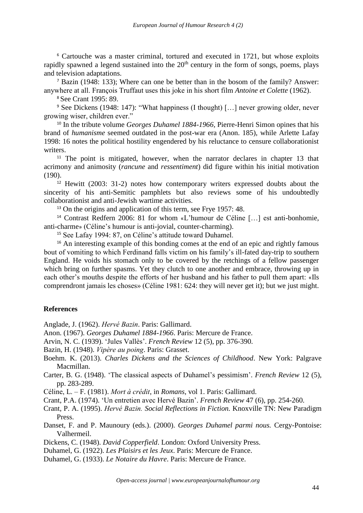<sup>6</sup> Cartouche was a master criminal, tortured and executed in 1721, but whose exploits rapidly spawned a legend sustained into the  $20<sup>th</sup>$  century in the form of songs, poems, plays and television adaptations.

<sup>7</sup> Bazin (1948: 133); Where can one be better than in the bosom of the family? Answer: anywhere at all. François Truffaut uses this joke in his short film *Antoine et Colette* (1962).

<sup>8</sup> See Crant 1995: 89.

<sup>9</sup> See Dickens (1948: 147): "What happiness (I thought) […] never growing older, never growing wiser, children ever."

<sup>10</sup> In the tribute volume *Georges Duhamel 1884-1966,* Pierre-Henri Simon opines that his brand of *humanisme* seemed outdated in the post-war era (Anon. 185), while Arlette Lafay 1998: 16 notes the political hostility engendered by his reluctance to censure collaborationist writers.

<sup>11</sup> The point is mitigated, however, when the narrator declares in chapter 13 that acrimony and animosity (*rancune* and *ressentiment*) did figure within his initial motivation (190).

<sup>12</sup> Hewitt (2003: 31-2) notes how contemporary writers expressed doubts about the sincerity of his anti-Semitic pamphlets but also reviews some of his undoubtedly collaborationist and anti-Jewish wartime activities.

<sup>13</sup> On the origins and application of this term, see Frye 1957: 48.

<sup>14</sup> Contrast Redfern 2006: 81 for whom «L'humour de Céline […] est anti-bonhomie, anti-charme» (Céline's humour is anti-jovial, counter-charming).

<sup>15</sup> See Lafay 1994: 87, on Céline's attitude toward Duhamel.

<sup>16</sup> An interesting example of this bonding comes at the end of an epic and rightly famous bout of vomiting to which Ferdinand falls victim on his family's ill-fated day-trip to southern England. He voids his stomach only to be covered by the retchings of a fellow passenger which bring on further spasms. Yet they clutch to one another and embrace, throwing up in each other's mouths despite the efforts of her husband and his father to pull them apart: «Ils comprendront jamais les choses» (Céline 1981: 624: they will never get it); but we just might.

## **References**

Anglade, J. (1962). *Hervé Bazin*. Paris: Gallimard.

Anon. (1967). *Georges Duhamel 1884-1966*. Paris: Mercure de France.

Arvin, N. C. (1939). 'Jules Vallès'. *French Review* 12 (5), pp. 376-390.

Bazin, H. (1948). *Vipère au poing*. Paris: Grasset.

Boehm. K. (2013). *Charles Dickens and the Sciences of Childhood*. New York: Palgrave Macmillan.

- Carter, B. G. (1948). 'The classical aspects of Duhamel's pessimism'. *French Review* 12 (5), pp. 283-289.
- Céline, L. F. (1981). *Mort à crédit*, in *Romans*, vol 1. Paris: Gallimard.
- Crant, P.A. (1974). 'Un entretien avec Hervé Bazin'. *French Review* 47 (6), pp. 254-260.
- Crant, P. A. (1995). *Hervé Bazin. Social Reflections in Fiction.* Knoxville TN: New Paradigm Press.
- Danset, F. and P. Maunoury (eds.). (2000). *Georges Duhamel parmi nous.* Cergy-Pontoise: Valhermeil.

Dickens, C. (1948). *David Copperfield*. London: Oxford University Press.

- Duhamel, G. (1922). *Les Plaisirs et les Jeux*. Paris: Mercure de France.
- Duhamel, G. (1933). *Le Notaire du Havre*. Paris: Mercure de France.